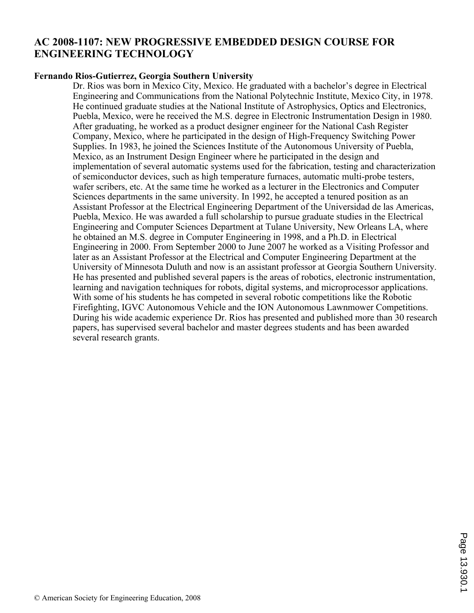## **AC 2008-1107: NEW PROGRESSIVE EMBEDDED DESIGN COURSE FOR ENGINEERING TECHNOLOGY**

## **Fernando Rios-Gutierrez, Georgia Southern University**

Dr. Rios was born in Mexico City, Mexico. He graduated with a bachelor's degree in Electrical Engineering and Communications from the National Polytechnic Institute, Mexico City, in 1978. He continued graduate studies at the National Institute of Astrophysics, Optics and Electronics, Puebla, Mexico, were he received the M.S. degree in Electronic Instrumentation Design in 1980. After graduating, he worked as a product designer engineer for the National Cash Register Company, Mexico, where he participated in the design of High-Frequency Switching Power Supplies. In 1983, he joined the Sciences Institute of the Autonomous University of Puebla, Mexico, as an Instrument Design Engineer where he participated in the design and implementation of several automatic systems used for the fabrication, testing and characterization of semiconductor devices, such as high temperature furnaces, automatic multi-probe testers, wafer scribers, etc. At the same time he worked as a lecturer in the Electronics and Computer Sciences departments in the same university. In 1992, he accepted a tenured position as an Assistant Professor at the Electrical Engineering Department of the Universidad de las Americas, Puebla, Mexico. He was awarded a full scholarship to pursue graduate studies in the Electrical Engineering and Computer Sciences Department at Tulane University, New Orleans LA, where he obtained an M.S. degree in Computer Engineering in 1998, and a Ph.D. in Electrical Engineering in 2000. From September 2000 to June 2007 he worked as a Visiting Professor and later as an Assistant Professor at the Electrical and Computer Engineering Department at the University of Minnesota Duluth and now is an assistant professor at Georgia Southern University. He has presented and published several papers is the areas of robotics, electronic instrumentation, learning and navigation techniques for robots, digital systems, and microprocessor applications. With some of his students he has competed in several robotic competitions like the Robotic Firefighting, IGVC Autonomous Vehicle and the ION Autonomous Lawnmower Competitions. During his wide academic experience Dr. Rios has presented and published more than 30 research papers, has supervised several bachelor and master degrees students and has been awarded several research grants.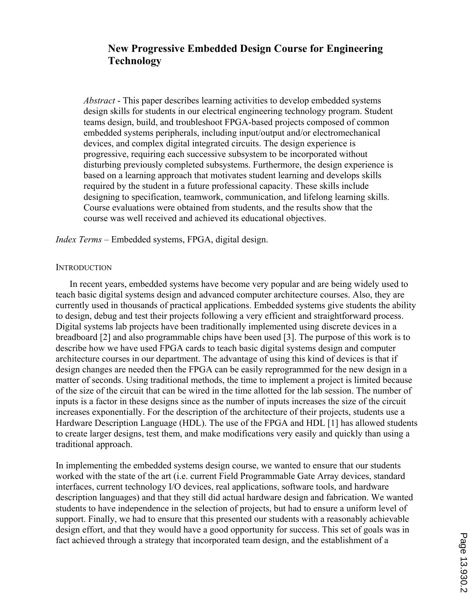# **New Progressive Embedded Design Course for Engineering Technology**

*Abstract* - This paper describes learning activities to develop embedded systems design skills for students in our electrical engineering technology program. Student teams design, build, and troubleshoot FPGA-based projects composed of common embedded systems peripherals, including input/output and/or electromechanical devices, and complex digital integrated circuits. The design experience is progressive, requiring each successive subsystem to be incorporated without disturbing previously completed subsystems. Furthermore, the design experience is based on a learning approach that motivates student learning and develops skills required by the student in a future professional capacity. These skills include designing to specification, teamwork, communication, and lifelong learning skills. Course evaluations were obtained from students, and the results show that the course was well received and achieved its educational objectives.

*Index Terms* – Embedded systems, FPGA, digital design.

#### **INTRODUCTION**

In recent years, embedded systems have become very popular and are being widely used to teach basic digital systems design and advanced computer architecture courses. Also, they are currently used in thousands of practical applications. Embedded systems give students the ability to design, debug and test their projects following a very efficient and straightforward process. Digital systems lab projects have been traditionally implemented using discrete devices in a breadboard [2] and also programmable chips have been used [3]. The purpose of this work is to describe how we have used FPGA cards to teach basic digital systems design and computer architecture courses in our department. The advantage of using this kind of devices is that if design changes are needed then the FPGA can be easily reprogrammed for the new design in a matter of seconds. Using traditional methods, the time to implement a project is limited because of the size of the circuit that can be wired in the time allotted for the lab session. The number of inputs is a factor in these designs since as the number of inputs increases the size of the circuit increases exponentially. For the description of the architecture of their projects, students use a Hardware Description Language (HDL). The use of the FPGA and HDL [1] has allowed students to create larger designs, test them, and make modifications very easily and quickly than using a traditional approach.

In implementing the embedded systems design course, we wanted to ensure that our students worked with the state of the art (i.e. current Field Programmable Gate Array devices, standard interfaces, current technology I/O devices, real applications, software tools, and hardware description languages) and that they still did actual hardware design and fabrication. We wanted students to have independence in the selection of projects, but had to ensure a uniform level of support. Finally, we had to ensure that this presented our students with a reasonably achievable design effort, and that they would have a good opportunity for success. This set of goals was in fact achieved through a strategy that incorporated team design, and the establishment of a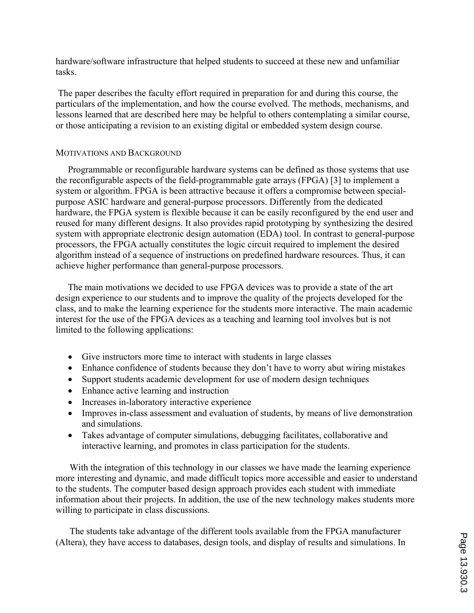hardware/software infrastructure that helped students to succeed at these new and unfamiliar tasks.

 The paper describes the faculty effort required in preparation for and during this course, the particulars of the implementation, and how the course evolved. The methods, mechanisms, and lessons learned that are described here may be helpful to others contemplating a similar course, or those anticipating a revision to an existing digital or embedded system design course.

## MOTIVATIONS AND BACKGROUND

Programmable or reconfigurable hardware systems can be defined as those systems that use the reconfigurable aspects of the field-programmable gate arrays (FPGA) [3] to implement a system or algorithm. FPGA is been attractive because it offers a compromise between specialpurpose ASIC hardware and general-purpose processors. Differently from the dedicated hardware, the FPGA system is flexible because it can be easily reconfigured by the end user and reused for many different designs. It also provides rapid prototyping by synthesizing the desired system with appropriate electronic design automation (EDA) tool. In contrast to general-purpose processors, the FPGA actually constitutes the logic circuit required to implement the desired algorithm instead of a sequence of instructions on predefined hardware resources. Thus, it can achieve higher performance than general-purpose processors.

The main motivations we decided to use FPGA devices was to provide a state of the art design experience to our students and to improve the quality of the projects developed for the class, and to make the learning experience for the students more interactive. The main academic interest for the use of the FPGA devices as a teaching and learning tool involves but is not limited to the following applications:

- ' Give instructors more time to interact with students in large classes
- Enhance confidence of students because they don't have to worry abut wiring mistakes
- ' Support students academic development for use of modern design techniques
- ' Enhance active learning and instruction
- ' Increases in-laboratory interactive experience
- ' Improves in-class assessment and evaluation of students, by means of live demonstration and simulations.
- ' Takes advantage of computer simulations, debugging facilitates, collaborative and interactive learning, and promotes in class participation for the students.

With the integration of this technology in our classes we have made the learning experience more interesting and dynamic, and made difficult topics more accessible and easier to understand to the students. The computer based design approach provides each student with immediate information about their projects. In addition, the use of the new technology makes students more willing to participate in class discussions.

 The students take advantage of the different tools available from the FPGA manufacturer (Altera), they have access to databases, design tools, and display of results and simulations. In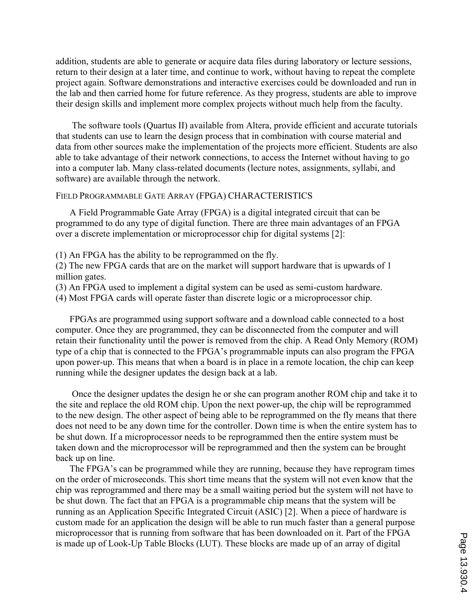addition, students are able to generate or acquire data files during laboratory or lecture sessions, return to their design at a later time, and continue to work, without having to repeat the complete project again. Software demonstrations and interactive exercises could be downloaded and run in the lab and then carried home for future reference. As they progress, students are able to improve their design skills and implement more complex projects without much help from the faculty.

 The software tools (Quartus II) available from Altera, provide efficient and accurate tutorials that students can use to learn the design process that in combination with course material and data from other sources make the implementation of the projects more efficient. Students are also able to take advantage of their network connections, to access the Internet without having to go into a computer lab. Many class-related documents (lecture notes, assignments, syllabi, and software) are available through the network.

#### FIELD PROGRAMMABLE GATE ARRAY (FPGA) CHARACTERISTICS

A Field Programmable Gate Array (FPGA) is a digital integrated circuit that can be programmed to do any type of digital function. There are three main advantages of an FPGA over a discrete implementation or microprocessor chip for digital systems [2]:

(1) An FPGA has the ability to be reprogrammed on the fly.

(2) The new FPGA cards that are on the market will support hardware that is upwards of 1 million gates.

(3) An FPGA used to implement a digital system can be used as semi-custom hardware.

(4) Most FPGA cards will operate faster than discrete logic or a microprocessor chip.

FPGAs are programmed using support software and a download cable connected to a host computer. Once they are programmed, they can be disconnected from the computer and will retain their functionality until the power is removed from the chip. A Read Only Memory (ROM) type of a chip that is connected to the FPGA's programmable inputs can also program the FPGA upon power-up. This means that when a board is in place in a remote location, the chip can keep running while the designer updates the design back at a lab.

 Once the designer updates the design he or she can program another ROM chip and take it to the site and replace the old ROM chip. Upon the next power-up, the chip will be reprogrammed to the new design. The other aspect of being able to be reprogrammed on the fly means that there does not need to be any down time for the controller. Down time is when the entire system has to be shut down. If a microprocessor needs to be reprogrammed then the entire system must be taken down and the microprocessor will be reprogrammed and then the system can be brought back up on line.

The FPGA's can be programmed while they are running, because they have reprogram times on the order of microseconds. This short time means that the system will not even know that the chip was reprogrammed and there may be a small waiting period but the system will not have to be shut down. The fact that an FPGA is a programmable chip means that the system will be running as an Application Specific Integrated Circuit (ASIC) [2]. When a piece of hardware is custom made for an application the design will be able to run much faster than a general purpose microprocessor that is running from software that has been downloaded on it. Part of the FPGA is made up of Look-Up Table Blocks (LUT). These blocks are made up of an array of digital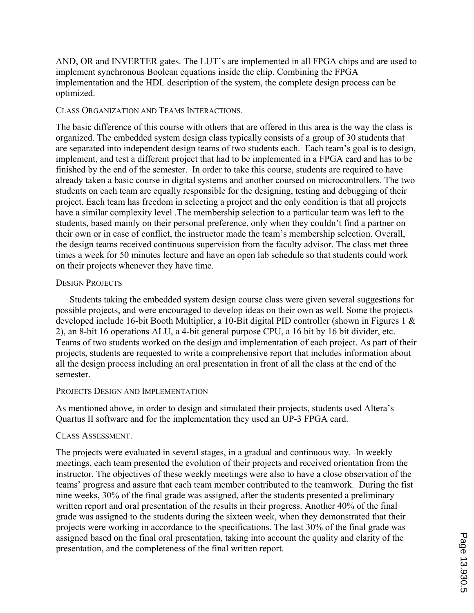AND, OR and INVERTER gates. The LUT's are implemented in all FPGA chips and are used to implement synchronous Boolean equations inside the chip. Combining the FPGA implementation and the HDL description of the system, the complete design process can be optimized.

### CLASS ORGANIZATION AND TEAMS INTERACTIONS.

The basic difference of this course with others that are offered in this area is the way the class is organized. The embedded system design class typically consists of a group of 30 students that are separated into independent design teams of two students each. Each team's goal is to design, implement, and test a different project that had to be implemented in a FPGA card and has to be finished by the end of the semester. In order to take this course, students are required to have already taken a basic course in digital systems and another coursed on microcontrollers. The two students on each team are equally responsible for the designing, testing and debugging of their project. Each team has freedom in selecting a project and the only condition is that all projects have a similar complexity level .The membership selection to a particular team was left to the students, based mainly on their personal preference, only when they couldn't find a partner on their own or in case of conflict, the instructor made the team's membership selection. Overall, the design teams received continuous supervision from the faculty advisor. The class met three times a week for 50 minutes lecture and have an open lab schedule so that students could work on their projects whenever they have time.

#### DESIGN PROJECTS

Students taking the embedded system design course class were given several suggestions for possible projects, and were encouraged to develop ideas on their own as well. Some the projects developed include 16-bit Booth Multiplier, a 10-Bit digital PID controller (shown in Figures 1 & 2), an 8-bit 16 operations ALU, a 4-bit general purpose CPU, a 16 bit by 16 bit divider, etc. Teams of two students worked on the design and implementation of each project. As part of their projects, students are requested to write a comprehensive report that includes information about all the design process including an oral presentation in front of all the class at the end of the semester.

## PROJECTS DESIGN AND IMPLEMENTATION

As mentioned above, in order to design and simulated their projects, students used Altera's Quartus II software and for the implementation they used an UP-3 FPGA card.

## CLASS ASSESSMENT.

The projects were evaluated in several stages, in a gradual and continuous way. In weekly meetings, each team presented the evolution of their projects and received orientation from the instructor. The objectives of these weekly meetings were also to have a close observation of the teams' progress and assure that each team member contributed to the teamwork. During the fist nine weeks, 30% of the final grade was assigned, after the students presented a preliminary written report and oral presentation of the results in their progress. Another 40% of the final grade was assigned to the students during the sixteen week, when they demonstrated that their projects were working in accordance to the specifications. The last 30% of the final grade was assigned based on the final oral presentation, taking into account the quality and clarity of the presentation, and the completeness of the final written report.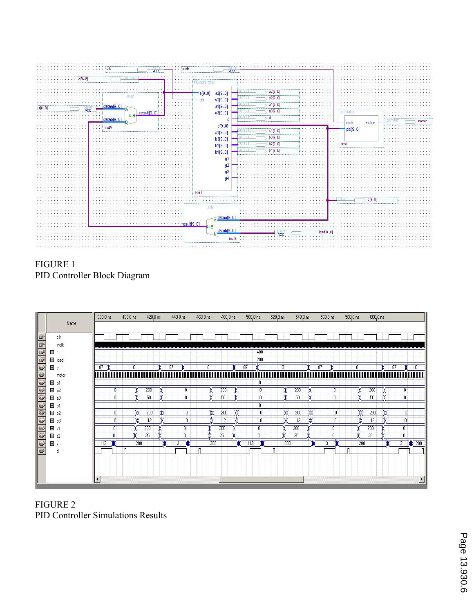

FIGURE 1 PID Controller Block Diagram

|                                               | Name                                            | 380,0 ns<br>$400,0 \text{ ns}$<br>420,0 ns<br>440,0 ns<br>$500,0 \text{ ns}$<br>520,0 ns<br>560,0 ns<br>580,0 ns<br>$600,0 \text{ ns}$<br>460,0 ns<br>480,0 ns<br>540,0 ns                                                    |
|-----------------------------------------------|-------------------------------------------------|-------------------------------------------------------------------------------------------------------------------------------------------------------------------------------------------------------------------------------|
| <u>a particle of a particle of a particle</u> | clk<br>inclk<br>$\pm$<br>El load                | 400<br>200                                                                                                                                                                                                                    |
|                                               | 国 c<br>motor                                    | 87<br>87<br>87<br>87<br>$\overline{0}$<br>87<br>0<br><u>www.ww</u>                                                                                                                                                            |
|                                               | 国 a1<br>$\Box$ a2<br>$\Box$ a3                  | $\overline{0}$<br>200<br>200<br>200<br>200<br>$\overline{0}$<br>$\overline{0}$<br>$\overline{0}$<br>O<br>0<br>50<br>50<br>50<br>50<br>0<br>0<br>0<br>O                                                                        |
|                                               | H <sub>b1</sub><br>$H$ b <sub>2</sub><br>$H$ b3 | $\bf{0}$<br>200<br>200<br>200<br>200<br>$\overline{0}$<br>$\overline{0}$<br>$\overline{0}$<br>0<br>0<br>12<br>$\overline{0}$<br>$\overline{0}$<br>12<br>12<br>12<br>0.<br>$\overline{0}$<br>0                                 |
|                                               | $\overline{+}$ s1<br>$\mathbb{H}$ s2<br>国 x     | 200<br>200<br>200<br>200<br>Ō<br>$\overline{0}$<br>O<br>0<br>25<br>$\overline{25}$<br>25<br>$\overline{25}$<br>$\overline{0}$<br>$\mathbf{0}$<br>0<br>200<br>200<br>200<br>200<br>113<br>113<br>113<br>200<br>113<br>113<br>ж |
|                                               | d                                               | $\mathsf{L}$<br>Л<br>п<br>п<br>$\cdot$<br>$\blacktriangleleft$                                                                                                                                                                |